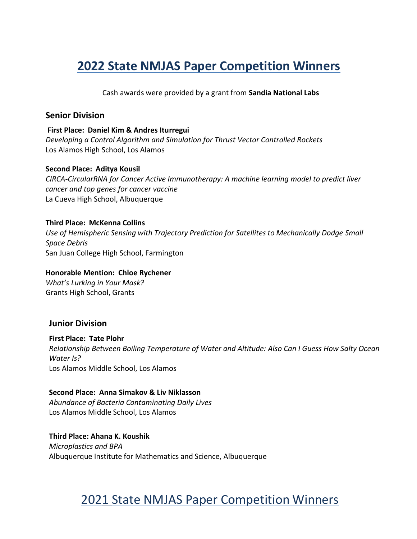Cash awards were provided by a grant from **Sandia National Labs**

#### **Senior Division**

**First Place: Daniel Kim & Andres Iturregui** *Developing a Control Algorithm and Simulation for Thrust Vector Controlled Rockets* Los Alamos High School, Los Alamos

#### **Second Place: Aditya Kousil**

*CIRCA-CircularRNA for Cancer Active Immunotherapy: A machine learning model to predict liver cancer and top genes for cancer vaccine* La Cueva High School, Albuquerque

#### **Third Place: McKenna Collins**

*Use of Hemispheric Sensing with Trajectory Prediction for Satellites to Mechanically Dodge Small Space Debris* San Juan College High School, Farmington

### **Honorable Mention: Chloe Rychener**

*What's Lurking in Your Mask?* Grants High School, Grants

#### **Junior Division**

**First Place: Tate Plohr** *Relationship Between Boiling Temperature of Water and Altitude: Also Can I Guess How Salty Ocean Water Is?* Los Alamos Middle School, Los Alamos

#### **Second Place: Anna Simakov & Liv Niklasson**

*Abundance of Bacteria Contaminating Daily Lives* Los Alamos Middle School, Los Alamos

**Third Place: Ahana K. Koushik** *Microplastics and BPA* Albuquerque Institute for Mathematics and Science, Albuquerque

# 2021 State NMJAS Paper Competition Winners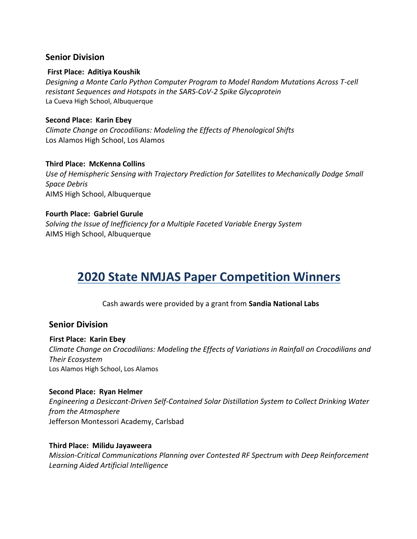#### **Senior Division**

#### **First Place: Aditiya Koushik**

*Designing a Monte Carlo Python Computer Program to Model Random Mutations Across T-cell resistant Sequences and Hotspots in the SARS-CoV-2 Spike Glycoprotein* La Cueva High School, Albuquerque

#### **Second Place: Karin Ebey**

*Climate Change on Crocodilians: Modeling the Effects of Phenological Shifts* Los Alamos High School, Los Alamos

#### **Third Place: McKenna Collins**

*Use of Hemispheric Sensing with Trajectory Prediction for Satellites to Mechanically Dodge Small Space Debris* AIMS High School, Albuquerque

#### **Fourth Place: Gabriel Gurule**

*Solving the Issue of Inefficiency for a Multiple Faceted Variable Energy System* AIMS High School, Albuquerque

# **2020 State NMJAS Paper Competition Winners**

Cash awards were provided by a grant from **Sandia National Labs**

#### **Senior Division**

#### **First Place: Karin Ebey**

*Climate Change on Crocodilians: Modeling the Effects of Variations in Rainfall on Crocodilians and Their Ecosystem* Los Alamos High School, Los Alamos

#### **Second Place: Ryan Helmer**

*Engineering a Desiccant-Driven Self-Contained Solar Distillation System to Collect Drinking Water from the Atmosphere* Jefferson Montessori Academy, Carlsbad

#### **Third Place: Milidu Jayaweera**

*Mission-Critical Communications Planning over Contested RF Spectrum with Deep Reinforcement Learning Aided Artificial Intelligence*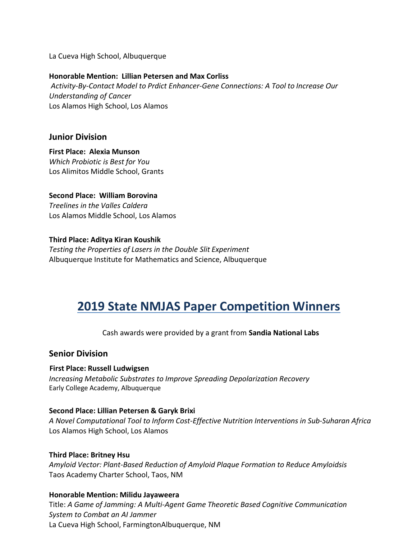La Cueva High School, Albuquerque

#### **Honorable Mention: Lillian Petersen and Max Corliss**

*Activity-By-Contact Model to Prdict Enhancer-Gene Connections: A Tool to Increase Our Understanding of Cancer* Los Alamos High School, Los Alamos

#### **Junior Division**

**First Place: Alexia Munson** *Which Probiotic is Best for You* Los Alimitos Middle School, Grants

**Second Place: William Borovina** *Treelines in the Valles Caldera* Los Alamos Middle School, Los Alamos

**Third Place: Aditya Kiran Koushik** *Testing the Properties of Lasers in the Double Slit Experiment* Albuquerque Institute for Mathematics and Science, Albuquerque

# **2019 State NMJAS Paper Competition Winners**

#### Cash awards were provided by a grant from **Sandia National Labs**

#### **Senior Division**

#### **First Place: Russell Ludwigsen**

*Increasing Metabolic Substrates to Improve Spreading Depolarization Recovery* Early College Academy, Albuquerque

#### **Second Place: Lillian Petersen & Garyk Brixi**

*A Novel Computational Tool to Inform Cost-Effective Nutrition Interventions in Sub-Suharan Africa* Los Alamos High School, Los Alamos

#### **Third Place: Britney Hsu**

*Amyloid Vector: Plant-Based Reduction of Amyloid Plaque Formation to Reduce Amyloidsis* Taos Academy Charter School, Taos, NM

#### **Honorable Mention: Milidu Jayaweera**

Title: *A Game of Jamming: A Multi-Agent Game Theoretic Based Cognitive Communication System to Combat an AI Jammer* La Cueva High School, FarmingtonAlbuquerque, NM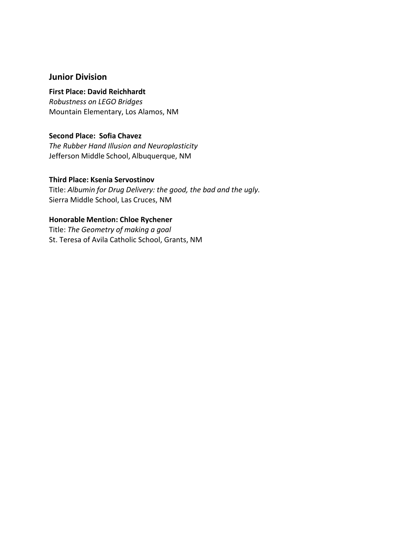#### **Junior Division**

#### **First Place: David Reichhardt**

*Robustness on LEGO Bridges* Mountain Elementary, Los Alamos, NM

#### **Second Place: Sofia Chavez**

*The Rubber Hand Illusion and Neuroplasticity* Jefferson Middle School, Albuquerque, NM

#### **Third Place: Ksenia Servostinov**

Title: *Albumin for Drug Delivery: the good, the bad and the ugly.* Sierra Middle School, Las Cruces, NM

#### **Honorable Mention: Chloe Rychener**

Title: *The Geometry of making a goal* St. Teresa of Avila Catholic School, Grants, NM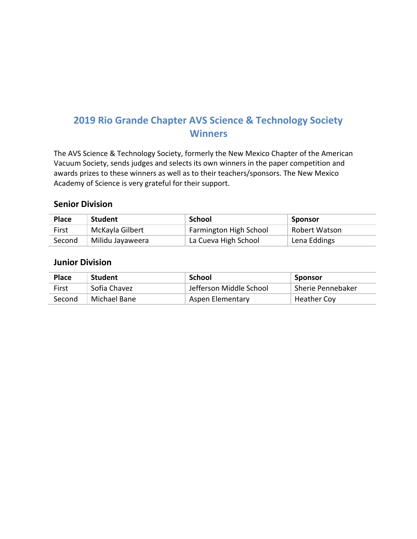The AVS Science & Technology Society, formerly the New Mexico Chapter of the American Vacuum Society, sends judges and selects its own winners in the paper competition and awards prizes to these winners as well as to their teachers/sponsors. The New Mexico Academy of Science is very grateful for their support.

#### **Senior Division**

| <b>Place</b> | <b>Student</b>   | School                        | Sponsor       |
|--------------|------------------|-------------------------------|---------------|
| First        | McKayla Gilbert  | <b>Farmington High School</b> | Robert Watson |
| Second       | Milidu Jayaweera | La Cueva High School          | Lena Eddings  |

| <b>Place</b> | <b>Student</b> | School                  | Sponsor           |
|--------------|----------------|-------------------------|-------------------|
| First        | Sofia Chavez   | Jefferson Middle School | Sherie Pennebaker |
| Second       | Michael Bane   | Aspen Elementary        | Heather Coy       |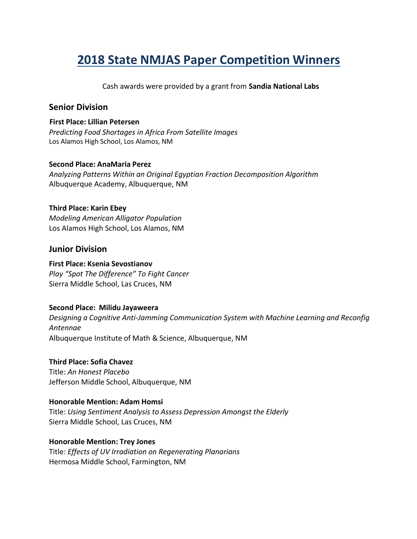Cash awards were provided by a grant from **Sandia National Labs**

#### **Senior Division**

#### **First Place: Lillian Petersen** *Predicting Food Shortages in Africa From Satellite Images* Los Alamos High School, Los Alamos, NM

#### **Second Place: AnaMaria Perez**

*Analyzing Patterns Within an Original Egyptian Fraction Decomposition Algorithm* Albuquerque Academy, Albuquerque, NM

#### **Third Place: Karin Ebey**

*Modeling American Alligator Population* Los Alamos High School, Los Alamos, NM

#### **Junior Division**

#### **First Place: Ksenia Sevostianov**

*Play "Spot The Difference" To Fight Cancer* Sierra Middle School, Las Cruces, NM

#### **Second Place: Milidu Jayaweera**

*Designing a Cognitive Anti-Jamming Communication System with Machine Learning and Reconfig Antennae* Albuquerque Institute of Math & Science, Albuquerque, NM

#### **Third Place: Sofia Chavez**

Title: *An Honest Placebo* Jefferson Middle School, Albuquerque, NM

#### **Honorable Mention: Adam Homsi**

Title: *Using Sentiment Analysis to Assess Depression Amongst the Elderly* Sierra Middle School, Las Cruces, NM

#### **Honorable Mention: Trey Jones**

Title: *Effects of UV Irradiation on Regenerating Planarians* Hermosa Middle School, Farmington, NM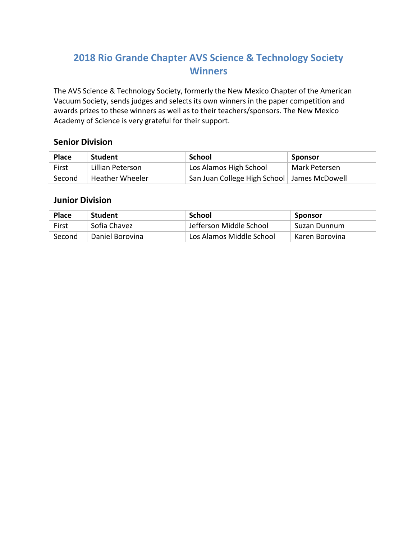The AVS Science & Technology Society, formerly the New Mexico Chapter of the American Vacuum Society, sends judges and selects its own winners in the paper competition and awards prizes to these winners as well as to their teachers/sponsors. The New Mexico Academy of Science is very grateful for their support.

#### **Senior Division**

| <b>Place</b> | <b>Student</b>         | School                                        | Sponsor       |
|--------------|------------------------|-----------------------------------------------|---------------|
| First        | Lillian Peterson       | Los Alamos High School                        | Mark Petersen |
| Second       | <b>Heather Wheeler</b> | San Juan College High School   James McDowell |               |

| <b>Place</b> | <b>Student</b>  | School                    | Sponsor        |
|--------------|-----------------|---------------------------|----------------|
| First        | Sofia Chavez    | - Jefferson Middle School | Suzan Dunnum   |
| Second       | Daniel Borovina | Los Alamos Middle School  | Karen Borovina |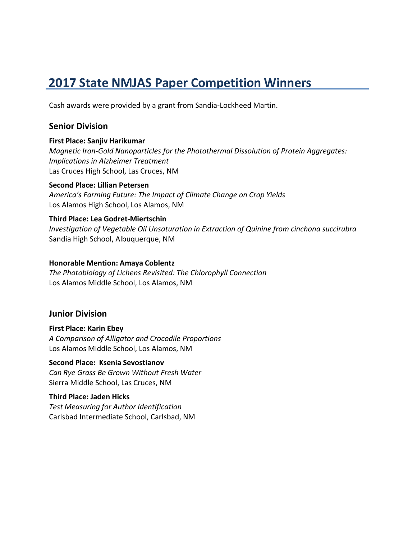Cash awards were provided by a grant from Sandia-Lockheed Martin.

#### **Senior Division**

#### **First Place: Sanjiv Harikumar**

*Magnetic Iron-Gold Nanoparticles for the Photothermal Dissolution of Protein Aggregates: Implications in Alzheimer Treatment* Las Cruces High School, Las Cruces, NM

#### **Second Place: Lillian Petersen**

*America's Farming Future: The Impact of Climate Change on Crop Yields* Los Alamos High School, Los Alamos, NM

#### **Third Place: Lea Godret-Miertschin**

*Investigation of Vegetable Oil Unsaturation in Extraction of Quinine from cinchona succirubra* Sandia High School, Albuquerque, NM

#### **Honorable Mention: Amaya Coblentz**

*The Photobiology of Lichens Revisited: The Chlorophyll Connection* Los Alamos Middle School, Los Alamos, NM

#### **Junior Division**

**First Place: Karin Ebey** *A Comparison of Alligator and Crocodile Proportions* Los Alamos Middle School, Los Alamos, NM

#### **Second Place: Ksenia Sevostianov**

*Can Rye Grass Be Grown Without Fresh Water* Sierra Middle School, Las Cruces, NM

# **Third Place: Jaden Hicks**

*Test Measuring for Author Identification* Carlsbad Intermediate School, Carlsbad, NM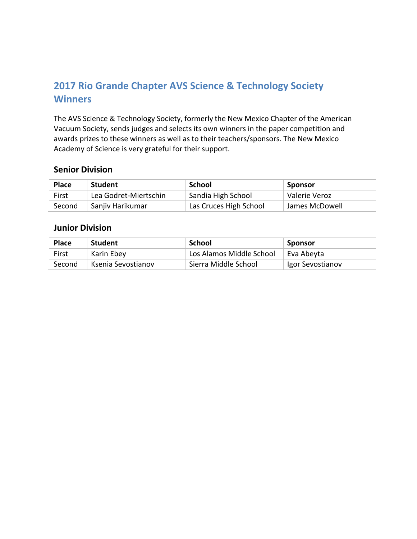The AVS Science & Technology Society, formerly the New Mexico Chapter of the American Vacuum Society, sends judges and selects its own winners in the paper competition and awards prizes to these winners as well as to their teachers/sponsors. The New Mexico Academy of Science is very grateful for their support.

#### **Senior Division**

| <b>Place</b> | <b>Student</b>        | School                 | Sponsor        |
|--------------|-----------------------|------------------------|----------------|
| First        | Lea Godret-Miertschin | Sandia High School     | Valerie Veroz  |
| Second       | Sanjiy Harikumar      | Las Cruces High School | James McDowell |

| <b>Place</b> | <b>Student</b>     | School                   | Sponsor          |
|--------------|--------------------|--------------------------|------------------|
| First        | Karin Ebey         | Los Alamos Middle School | Eva Abeyta       |
| Second       | Ksenia Sevostianov | Sierra Middle School     | Igor Sevostianov |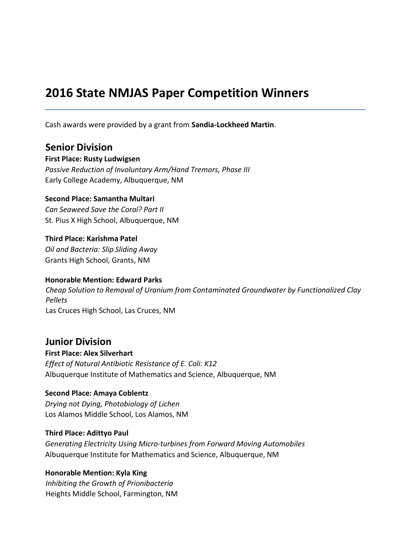Cash awards were provided by a grant from **Sandia-Lockheed Martin**.

**Senior Division**

**First Place: Rusty Ludwigsen** *Passive Reduction of Involuntary Arm/Hand Tremors, Phase III* Early College Academy, Albuquerque, NM

#### **Second Place: Samantha Multari**

*Can Seaweed Save the Coral? Part II* St. Pius X High School, Albuquerque, NM

**Third Place: Karishma Patel** *Oil and Bacteria: Slip Sliding Away* Grants High School, Grants, NM

#### **Honorable Mention: Edward Parks**

*Cheap Solution to Removal of Uranium from Contaminated Groundwater by Functionalized Clay Pellets* Las Cruces High School, Las Cruces, NM

### **Junior Division**

**First Place: Alex Silverhart** *Effect of Natural Antibiotic Resistance of E. Coli: K12* Albuquerque Institute of Mathematics and Science, Albuquerque, NM

#### **Second Place: Amaya Coblentz**

*Drying not Dying, Photobiology of Lichen* Los Alamos Middle School, Los Alamos, NM

#### **Third Place: Adittyo Paul**

*Generating Electricity Using Micro-turbines from Forward Moving Automobiles* Albuquerque Institute for Mathematics and Science, Albuquerque, NM

#### **Honorable Mention: Kyla King**

*Inhibiting the Growth of Prionibacteria* Heights Middle School, Farmington, NM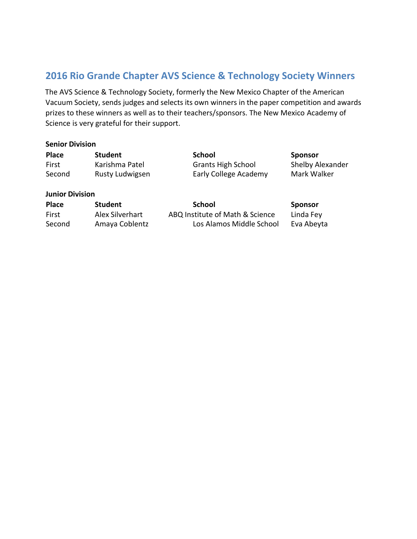The AVS Science & Technology Society, formerly the New Mexico Chapter of the American Vacuum Society, sends judges and selects its own winners in the paper competition and awards prizes to these winners as well as to their teachers/sponsors. The New Mexico Academy of Science is very grateful for their support.

#### **Senior Division**

| <b>Place</b>           | Student                | School                    | <b>Sponsor</b>   |
|------------------------|------------------------|---------------------------|------------------|
| First                  | Karishma Patel         | <b>Grants High School</b> | Shelby Alexander |
| Second                 | <b>Rusty Ludwigsen</b> | Early College Academy     | Mark Walker      |
| <b>Junior Division</b> |                        |                           |                  |

| <b>Place</b> | <b>Student</b>  | School                          | <b>Sponsor</b> |
|--------------|-----------------|---------------------------------|----------------|
| First        | Alex Silverhart | ABQ Institute of Math & Science | Linda Fey      |
| Second       | Amaya Coblentz  | Los Alamos Middle School        | Eva Abeyta     |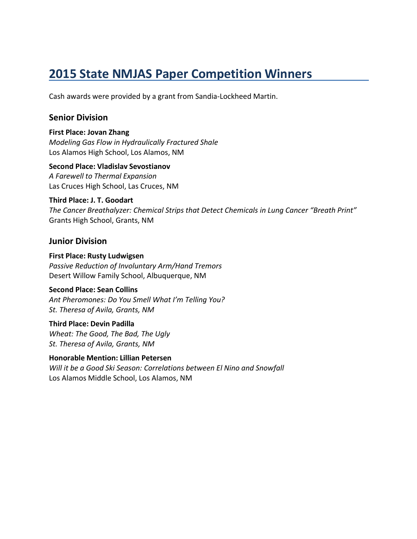Cash awards were provided by a grant from Sandia-Lockheed Martin.

#### **Senior Division**

**First Place: Jovan Zhang** *Modeling Gas Flow in Hydraulically Fractured Shale* Los Alamos High School, Los Alamos, NM

#### **Second Place: Vladislav Sevostianov**

*A Farewell to Thermal Expansion* Las Cruces High School, Las Cruces, NM

#### **Third Place: J. T. Goodart**

*The Cancer Breathalyzer: Chemical Strips that Detect Chemicals in Lung Cancer "Breath Print"* Grants High School, Grants, NM

#### **Junior Division**

**First Place: Rusty Ludwigsen** *Passive Reduction of Involuntary Arm/Hand Tremors* Desert Willow Family School, Albuquerque, NM

#### **Second Place: Sean Collins**

*Ant Pheromones: Do You Smell What I'm Telling You? St. Theresa of Avila, Grants, NM*

**Third Place: Devin Padilla** *Wheat: The Good, The Bad, The Ugly St. Theresa of Avila, Grants, NM*

**Honorable Mention: Lillian Petersen** *Will it be a Good Ski Season: Correlations between El Nino and Snowfall* Los Alamos Middle School, Los Alamos, NM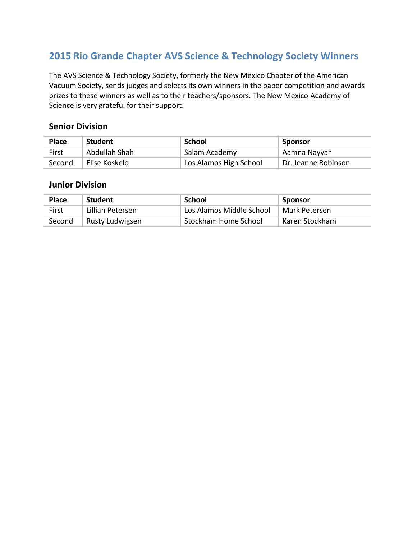The AVS Science & Technology Society, formerly the New Mexico Chapter of the American Vacuum Society, sends judges and selects its own winners in the paper competition and awards prizes to these winners as well as to their teachers/sponsors. The New Mexico Academy of Science is very grateful for their support.

#### **Senior Division**

| <b>Place</b> | <b>Student</b> | School                 | Sponsor             |
|--------------|----------------|------------------------|---------------------|
| First        | Abdullah Shah  | Salam Academy          | Aamna Nayyar        |
| Second       | Elise Koskelo  | Los Alamos High School | Dr. Jeanne Robinson |

| Place  | <b>Student</b>   | School                   | Sponsor        |
|--------|------------------|--------------------------|----------------|
| First  | Lillian Petersen | Los Alamos Middle School | Mark Petersen  |
| Second | Rusty Ludwigsen  | Stockham Home School     | Karen Stockham |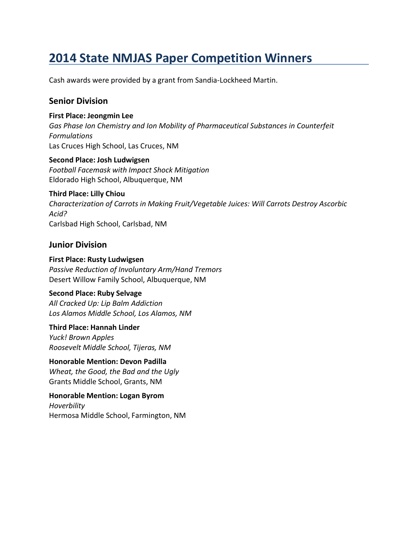Cash awards were provided by a grant from Sandia-Lockheed Martin.

#### **Senior Division**

**First Place: Jeongmin Lee**

*Gas Phase Ion Chemistry and Ion Mobility of Pharmaceutical Substances in Counterfeit Formulations* Las Cruces High School, Las Cruces, NM

**Second Place: Josh Ludwigsen** *Football Facemask with Impact Shock Mitigation* Eldorado High School, Albuquerque, NM

#### **Third Place: Lilly Chiou**

*Characterization of Carrots in Making Fruit/Vegetable Juices: Will Carrots Destroy Ascorbic Acid?* Carlsbad High School, Carlsbad, NM

#### **Junior Division**

**First Place: Rusty Ludwigsen** *Passive Reduction of Involuntary Arm/Hand Tremors* Desert Willow Family School, Albuquerque, NM

#### **Second Place: Ruby Selvage**

*All Cracked Up: Lip Balm Addiction Los Alamos Middle School, Los Alamos, NM*

**Third Place: Hannah Linder** *Yuck! Brown Apples Roosevelt Middle School, Tijeras, NM*

**Honorable Mention: Devon Padilla** *Wheat, the Good, the Bad and the Ugly* Grants Middle School, Grants, NM

**Honorable Mention: Logan Byrom** *Hoverbility* Hermosa Middle School, Farmington, NM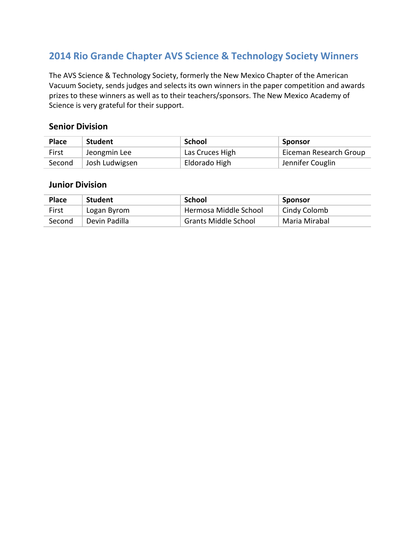The AVS Science & Technology Society, formerly the New Mexico Chapter of the American Vacuum Society, sends judges and selects its own winners in the paper competition and awards prizes to these winners as well as to their teachers/sponsors. The New Mexico Academy of Science is very grateful for their support.

#### **Senior Division**

| <b>Place</b> | <b>Student</b> | School          | Sponsor                |
|--------------|----------------|-----------------|------------------------|
| First        | Jeongmin Lee   | Las Cruces High | Eiceman Research Group |
| Second       | Josh Ludwigsen | Eldorado High   | Jennifer Couglin       |

| Place  | <b>Student</b> | School                      | Sponsor       |
|--------|----------------|-----------------------------|---------------|
| First  | Logan Byrom    | Hermosa Middle School       | Cindy Colomb  |
| Second | Devin Padilla  | <b>Grants Middle School</b> | Maria Mirabal |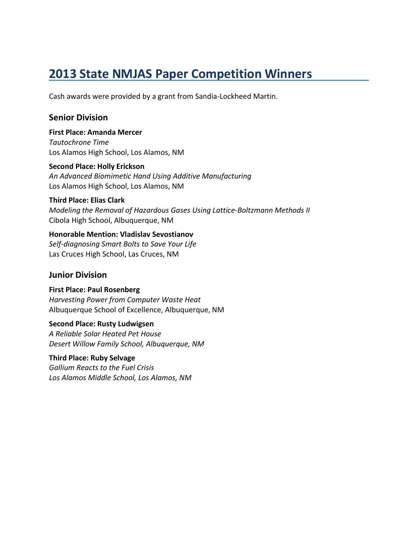Cash awards were provided by a grant from Sandia-Lockheed Martin.

#### **Senior Division**

**First Place: Amanda Mercer** *Tautochrone Time* Los Alamos High School, Los Alamos, NM

**Second Place: Holly Erickson** *An Advanced Biomimetic Hand Using Additive Manufacturing* Los Alamos High School, Los Alamos, NM

#### **Third Place: Elias Clark**

*Modeling the Removal of Hazardous Gases Using Lattice-Boltzmann Methods II* Cibola High School, Albuquerque, NM

#### **Honorable Mention: Vladislav Sevostianov**

*Self-diagnosing Smart Bolts to Save Your Life* Las Cruces High School, Las Cruces, NM

#### **Junior Division**

**First Place: Paul Rosenberg** *Harvesting Power from Computer Waste Heat* Albuquerque School of Excellence, Albuquerque, NM

**Second Place: Rusty Ludwigsen** *A Reliable Solar Heated Pet House Desert Willow Family School, Albuquerque, NM*

**Third Place: Ruby Selvage** *Gallium Reacts to the Fuel Crisis Los Alamos Middle School, Los Alamos, NM*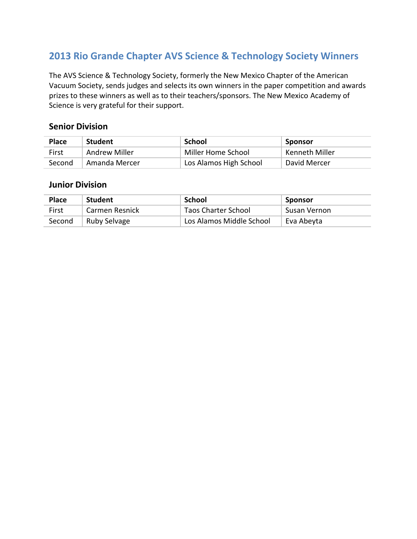The AVS Science & Technology Society, formerly the New Mexico Chapter of the American Vacuum Society, sends judges and selects its own winners in the paper competition and awards prizes to these winners as well as to their teachers/sponsors. The New Mexico Academy of Science is very grateful for their support.

#### **Senior Division**

| <b>Place</b> | <b>Student</b> | School                 | Sponsor        |
|--------------|----------------|------------------------|----------------|
| First        | Andrew Miller  | Miller Home School     | Kenneth Miller |
| Second       | Amanda Mercer  | Los Alamos High School | David Mercer   |

| <b>Place</b> | <b>Student</b> | School                     | Sponsor      |
|--------------|----------------|----------------------------|--------------|
| First        | Carmen Resnick | <b>Taos Charter School</b> | Susan Vernon |
| Second       | Ruby Selvage   | Los Alamos Middle School   | Eva Abeyta   |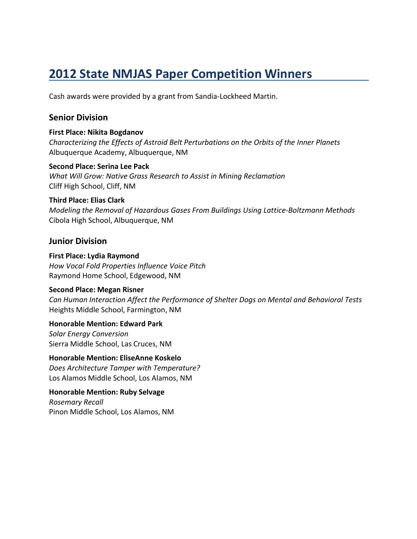Cash awards were provided by a grant from Sandia-Lockheed Martin.

#### **Senior Division**

#### **First Place: Nikita Bogdanov**

*Characterizing the Effects of Astroid Belt Perturbations on the Orbits of the Inner Planets* Albuquerque Academy, Albuquerque, NM

#### **Second Place: Serina Lee Pack**

*What Will Grow: Native Grass Research to Assist in Mining Reclamation* Cliff High School, Cliff, NM

#### **Third Place: Elias Clark**

*Modeling the Removal of Hazardous Gases From Buildings Using Lattice-Boltzmann Methods* Cibola High School, Albuquerque, NM

#### **Junior Division**

**First Place: Lydia Raymond** *How Vocal Fold Properties Influence Voice Pitch* Raymond Home School, Edgewood, NM

#### **Second Place: Megan Risner**

*Can Human Interaction Affect the Performance of Shelter Dogs on Mental and Behavioral Tests* Heights Middle School, Farmington, NM

**Honorable Mention: Edward Park** *Solar Energy Conversion* Sierra Middle School, Las Cruces, NM

**Honorable Mention: EliseAnne Koskelo** *Does Architecture Tamper with Temperature?* Los Alamos Middle School, Los Alamos, NM

**Honorable Mention: Ruby Selvage** *Rosemary Recall* Pinon Middle School, Los Alamos, NM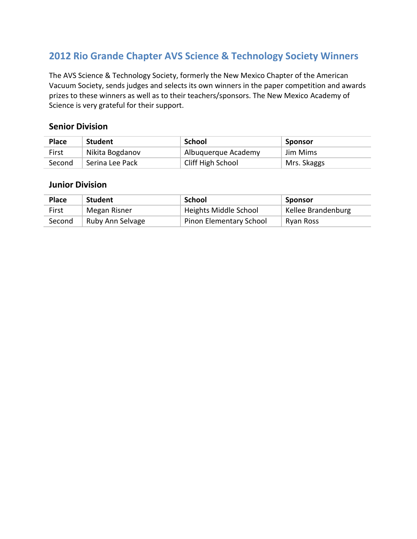The AVS Science & Technology Society, formerly the New Mexico Chapter of the American Vacuum Society, sends judges and selects its own winners in the paper competition and awards prizes to these winners as well as to their teachers/sponsors. The New Mexico Academy of Science is very grateful for their support.

#### **Senior Division**

| <b>Place</b> | <b>Student</b>  | School              | Sponsor     |
|--------------|-----------------|---------------------|-------------|
| First        | Nikita Bogdanov | Albuguerque Academy | Jim Mims    |
| Second       | Serina Lee Pack | Cliff High School   | Mrs. Skaggs |

| <b>Place</b> | <b>Student</b>   | School                         | Sponsor            |
|--------------|------------------|--------------------------------|--------------------|
| First        | Megan Risner     | Heights Middle School          | Kellee Brandenburg |
| Second       | Ruby Ann Selvage | <b>Pinon Elementary School</b> | Ryan Ross          |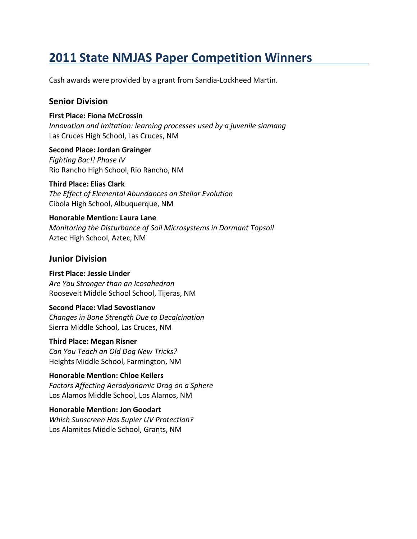Cash awards were provided by a grant from Sandia-Lockheed Martin.

#### **Senior Division**

#### **First Place: Fiona McCrossin**

*Innovation and Imitation: learning processes used by a juvenile siamang* Las Cruces High School, Las Cruces, NM

**Second Place: Jordan Grainger** *Fighting Bac!! Phase IV* Rio Rancho High School, Rio Rancho, NM

**Third Place: Elias Clark** *The Effect of Elemental Abundances on Stellar Evolution* Cibola High School, Albuquerque, NM

**Honorable Mention: Laura Lane** *Monitoring the Disturbance of Soil Microsystems in Dormant Topsoil* Aztec High School, Aztec, NM

#### **Junior Division**

#### **First Place: Jessie Linder**

*Are You Stronger than an Icosahedron* Roosevelt Middle School School, Tijeras, NM

#### **Second Place: Vlad Sevostianov**

*Changes in Bone Strength Due to Decalcination* Sierra Middle School, Las Cruces, NM

#### **Third Place: Megan Risner**

*Can You Teach an Old Dog New Tricks?* Heights Middle School, Farmington, NM

#### **Honorable Mention: Chloe Keilers**

*Factors Affecting Aerodyanamic Drag on a Sphere* Los Alamos Middle School, Los Alamos, NM

#### **Honorable Mention: Jon Goodart**

*Which Sunscreen Has Supier UV Protection?* Los Alamitos Middle School, Grants, NM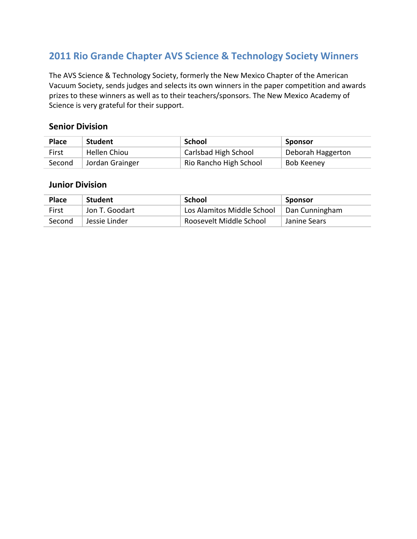The AVS Science & Technology Society, formerly the New Mexico Chapter of the American Vacuum Society, sends judges and selects its own winners in the paper competition and awards prizes to these winners as well as to their teachers/sponsors. The New Mexico Academy of Science is very grateful for their support.

#### **Senior Division**

| <b>Place</b> | <b>Student</b>  | School                 | Sponsor           |
|--------------|-----------------|------------------------|-------------------|
| First        | Hellen Chiou    | Carlsbad High School   | Deborah Haggerton |
| Second       | Jordan Grainger | Rio Rancho High School | <b>Bob Keeney</b> |

| <b>Place</b> | <b>Student</b> | School                     | Sponsor        |
|--------------|----------------|----------------------------|----------------|
| First        | Jon T. Goodart | Los Alamitos Middle School | Dan Cunningham |
| Second       | Jessie Linder  | Roosevelt Middle School    | Janine Sears   |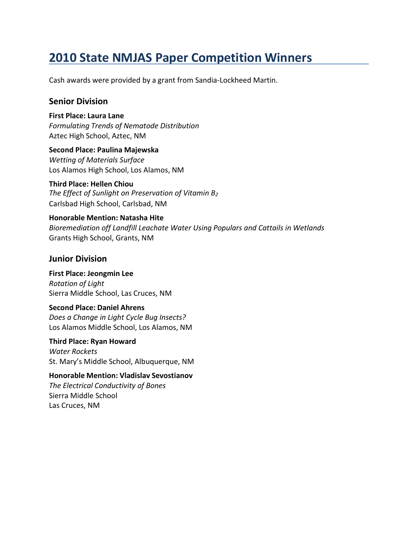Cash awards were provided by a grant from Sandia-Lockheed Martin.

#### **Senior Division**

**First Place: Laura Lane** *Formulating Trends of Nematode Distribution* Aztec High School, Aztec, NM

**Second Place: Paulina Majewska** *Wetting of Materials Surface* Los Alamos High School, Los Alamos, NM

#### **Third Place: Hellen Chiou**

*The Effect of Sunlight on Preservation of Vitamin B<sup>2</sup>* Carlsbad High School, Carlsbad, NM

**Honorable Mention: Natasha Hite** *Bioremediation off Landfill Leachate Water Using Populars and Cattails in Wetlands* Grants High School, Grants, NM

#### **Junior Division**

**First Place: Jeongmin Lee** *Rotation of Light* Sierra Middle School, Las Cruces, NM

#### **Second Place: Daniel Ahrens**

*Does a Change in Light Cycle Bug Insects?* Los Alamos Middle School, Los Alamos, NM

**Third Place: Ryan Howard** *Water Rockets* St. Mary's Middle School, Albuquerque, NM

**Honorable Mention: Vladislav Sevostianov** *The Electrical Conductivity of Bones* Sierra Middle School Las Cruces, NM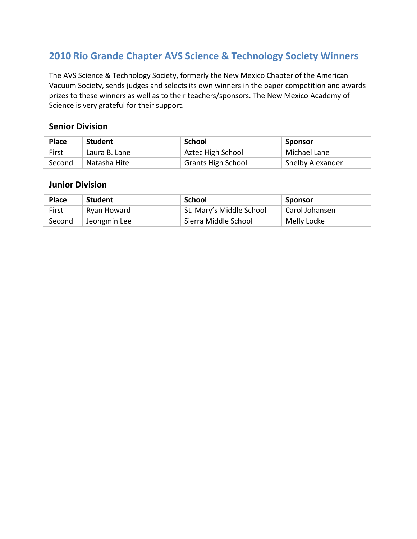The AVS Science & Technology Society, formerly the New Mexico Chapter of the American Vacuum Society, sends judges and selects its own winners in the paper competition and awards prizes to these winners as well as to their teachers/sponsors. The New Mexico Academy of Science is very grateful for their support.

#### **Senior Division**

| <b>Place</b> | <b>Student</b> | School                    | Sponsor          |
|--------------|----------------|---------------------------|------------------|
| First        | Laura B. Lane  | Aztec High School         | Michael Lane     |
| Second       | Natasha Hite   | <b>Grants High School</b> | Shelby Alexander |

| <b>Place</b> | <b>Student</b> | School                   | Sponsor        |
|--------------|----------------|--------------------------|----------------|
| First        | Ryan Howard    | St. Mary's Middle School | Carol Johansen |
| Second       | Jeongmin Lee   | Sierra Middle School     | Melly Locke    |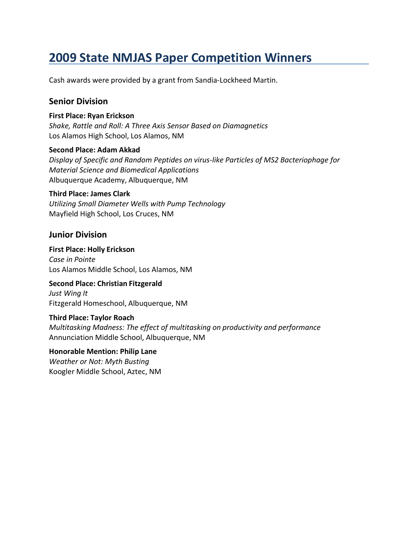Cash awards were provided by a grant from Sandia-Lockheed Martin.

#### **Senior Division**

#### **First Place: Ryan Erickson**

*Shake, Rattle and Roll: A Three Axis Sensor Based on Diamagnetics* Los Alamos High School, Los Alamos, NM

#### **Second Place: Adam Akkad**

*Display of Specific and Random Peptides on virus-like Particles of MS2 Bacteriophage for Material Science and Biomedical Applications* Albuquerque Academy, Albuquerque, NM

#### **Third Place: James Clark**

*Utilizing Small Diameter Wells with Pump Technology* Mayfield High School, Los Cruces, NM

#### **Junior Division**

**First Place: Holly Erickson** *Case in Pointe* Los Alamos Middle School, Los Alamos, NM

### **Second Place: Christian Fitzgerald**

*Just Wing It* Fitzgerald Homeschool, Albuquerque, NM

#### **Third Place: Taylor Roach**

*Multitasking Madness: The effect of multitasking on productivity and performance* Annunciation Middle School, Albuquerque, NM

#### **Honorable Mention: Philip Lane** *Weather or Not: Myth Busting*

Koogler Middle School, Aztec, NM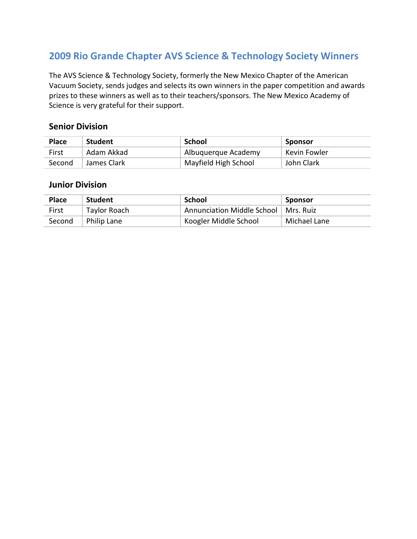The AVS Science & Technology Society, formerly the New Mexico Chapter of the American Vacuum Society, sends judges and selects its own winners in the paper competition and awards prizes to these winners as well as to their teachers/sponsors. The New Mexico Academy of Science is very grateful for their support.

#### **Senior Division**

| <b>Place</b> | <b>Student</b> | School               | Sponsor      |
|--------------|----------------|----------------------|--------------|
| First        | Adam Akkad     | Albuguerque Academy  | Kevin Fowler |
| Second       | James Clark    | Mayfield High School | John Clark   |

| <b>Place</b> | <b>Student</b>     | School                                 | Sponsor      |
|--------------|--------------------|----------------------------------------|--------------|
| First        | Taylor Roach       | Annunciation Middle School   Mrs. Ruiz |              |
| Second       | <b>Philip Lane</b> | Koogler Middle School                  | Michael Lane |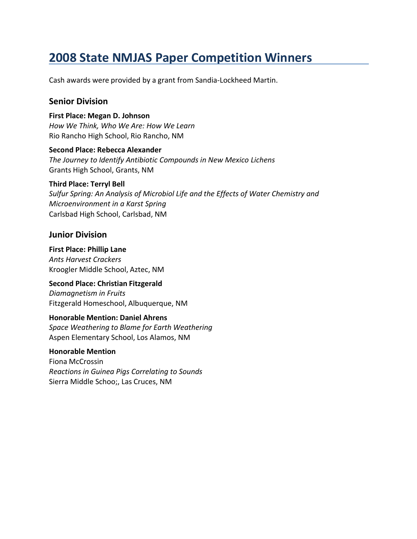Cash awards were provided by a grant from Sandia-Lockheed Martin.

#### **Senior Division**

**First Place: Megan D. Johnson** *How We Think, Who We Are: How We Learn* Rio Rancho High School, Rio Rancho, NM

**Second Place: Rebecca Alexander** *The Journey to Identify Antibiotic Compounds in New Mexico Lichens* Grants High School, Grants, NM

#### **Third Place: Terryl Bell**

*Sulfur Spring: An Analysis of Microbiol Life and the Effects of Water Chemistry and Microenvironment in a Karst Spring* Carlsbad High School, Carlsbad, NM

#### **Junior Division**

**First Place: Phillip Lane** *Ants Harvest Crackers* Kroogler Middle School, Aztec, NM

**Second Place: Christian Fitzgerald** *Diamagnetism in Fruits* Fitzgerald Homeschool, Albuquerque, NM

#### **Honorable Mention: Daniel Ahrens**

*Space Weathering to Blame for Earth Weathering* Aspen Elementary School, Los Alamos, NM

#### **Honorable Mention**

Fiona McCrossin *Reactions in Guinea Pigs Correlating to Sounds* Sierra Middle Schoo;, Las Cruces, NM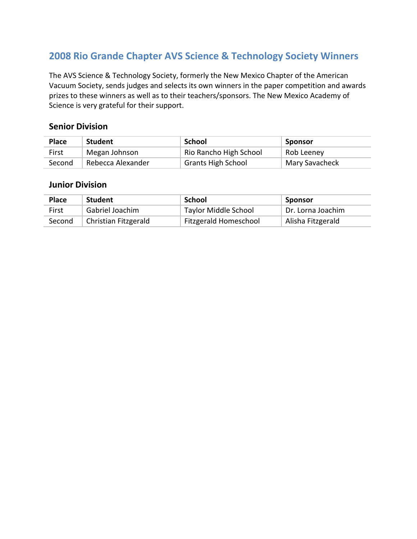The AVS Science & Technology Society, formerly the New Mexico Chapter of the American Vacuum Society, sends judges and selects its own winners in the paper competition and awards prizes to these winners as well as to their teachers/sponsors. The New Mexico Academy of Science is very grateful for their support.

#### **Senior Division**

| <b>Place</b> | <b>Student</b>    | School                    | Sponsor        |
|--------------|-------------------|---------------------------|----------------|
| First        | Megan Johnson     | Rio Rancho High School    | Rob Leeney     |
| Second       | Rebecca Alexander | <b>Grants High School</b> | Mary Savacheck |

| <b>Place</b> | <b>Student</b>       | School                      | <b>Sponsor</b>    |
|--------------|----------------------|-----------------------------|-------------------|
| First        | Gabriel Joachim      | <b>Taylor Middle School</b> | Dr. Lorna Joachim |
| Second       | Christian Fitzgerald | Fitzgerald Homeschool       | Alisha Fitzgerald |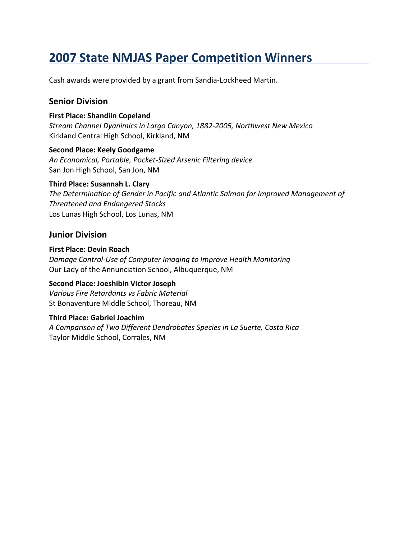Cash awards were provided by a grant from Sandia-Lockheed Martin.

#### **Senior Division**

#### **First Place: Shandiin Copeland**

*Stream Channel Dyanimics in Largo Canyon, 1882-2005, Northwest New Mexico* Kirkland Central High School, Kirkland, NM

#### **Second Place: Keely Goodgame**

*An Economical, Portable, Pocket-Sized Arsenic Filtering device* San Jon High School, San Jon, NM

#### **Third Place: Susannah L. Clary**

*The Determination of Gender in Pacific and Atlantic Salmon for Improved Management of Threatened and Endangered Stocks* Los Lunas High School, Los Lunas, NM

#### **Junior Division**

### **First Place: Devin Roach**

*Damage Control-Use of Computer Imaging to Improve Health Monitoring* Our Lady of the Annunciation School, Albuquerque, NM

#### **Second Place: Joeshibin Victor Joseph**

*Various Fire Retardants vs Fabric Material* St Bonaventure Middle School, Thoreau, NM

#### **Third Place: Gabriel Joachim**

*A Comparison of Two Different Dendrobates Species in La Suerte, Costa Rica* Taylor Middle School, Corrales, NM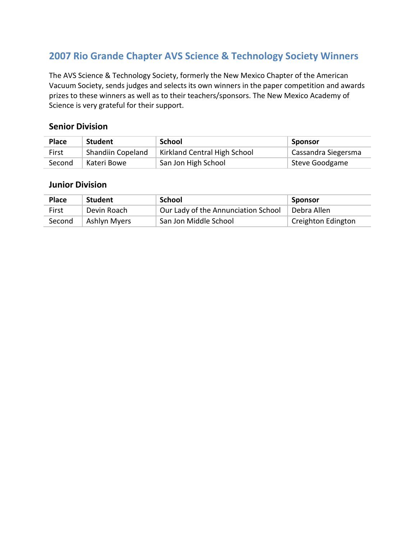The AVS Science & Technology Society, formerly the New Mexico Chapter of the American Vacuum Society, sends judges and selects its own winners in the paper competition and awards prizes to these winners as well as to their teachers/sponsors. The New Mexico Academy of Science is very grateful for their support.

#### **Senior Division**

| <b>Place</b> | <b>Student</b>    | School                       | Sponsor             |
|--------------|-------------------|------------------------------|---------------------|
| First        | Shandiin Copeland | Kirkland Central High School | Cassandra Siegersma |
| Second       | Kateri Bowe       | San Jon High School          | Steve Goodgame      |

| <b>Place</b> | Student             | School                              | Sponsor            |
|--------------|---------------------|-------------------------------------|--------------------|
| First        | Devin Roach         | Our Lady of the Annunciation School | Debra Allen        |
| Second       | <b>Ashlyn Myers</b> | San Jon Middle School               | Creighton Edington |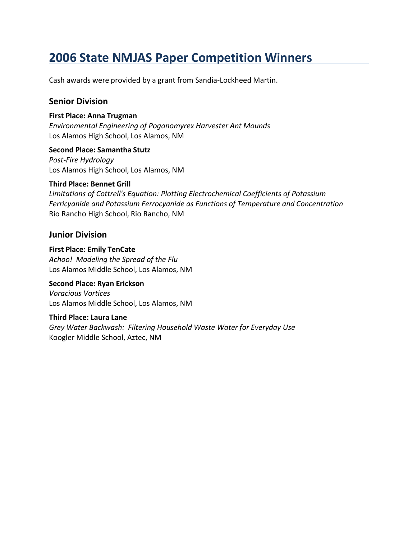Cash awards were provided by a grant from Sandia-Lockheed Martin.

#### **Senior Division**

#### **First Place: Anna Trugman**

*Environmental Engineering of Pogonomyrex Harvester Ant Mounds* Los Alamos High School, Los Alamos, NM

#### **Second Place: Samantha Stutz**

*Post-Fire Hydrology* Los Alamos High School, Los Alamos, NM

#### **Third Place: Bennet Grill**

*Limitations of Cottrell's Equation: Plotting Electrochemical Coefficients of Potassium Ferricyanide and Potassium Ferrocyanide as Functions of Temperature and Concentration* Rio Rancho High School, Rio Rancho, NM

#### **Junior Division**

#### **First Place: Emily TenCate** *Achoo! Modeling the Spread of the Flu* Los Alamos Middle School, Los Alamos, NM

#### **Second Place: Ryan Erickson**

*Voracious Vortices* Los Alamos Middle School, Los Alamos, NM

#### **Third Place: Laura Lane**

*Grey Water Backwash: Filtering Household Waste Water for Everyday Use* Koogler Middle School, Aztec, NM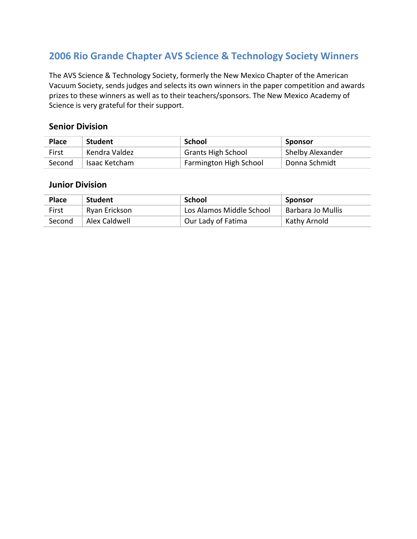The AVS Science & Technology Society, formerly the New Mexico Chapter of the American Vacuum Society, sends judges and selects its own winners in the paper competition and awards prizes to these winners as well as to their teachers/sponsors. The New Mexico Academy of Science is very grateful for their support.

#### **Senior Division**

| <b>Place</b> | <b>Student</b> | School                    | Sponsor          |
|--------------|----------------|---------------------------|------------------|
| First        | Kendra Valdez  | <b>Grants High School</b> | Shelby Alexander |
| Second       | Isaac Ketcham  | Farmington High School    | Donna Schmidt    |

| <b>Place</b> | <b>Student</b> | School                   | Sponsor           |
|--------------|----------------|--------------------------|-------------------|
| First        | Ryan Erickson  | Los Alamos Middle School | Barbara Jo Mullis |
| Second       | Alex Caldwell  | Our Lady of Fatima       | Kathy Arnold      |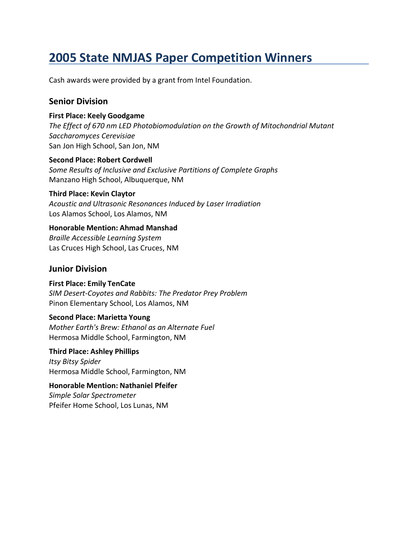Cash awards were provided by a grant from Intel Foundation.

#### **Senior Division**

#### **First Place: Keely Goodgame**

*The Effect of 670 nm LED Photobiomodulation on the Growth of Mitochondrial Mutant Saccharomyces Cerevisiae* San Jon High School, San Jon, NM

**Second Place: Robert Cordwell** *Some Results of Inclusive and Exclusive Partitions of Complete Graphs* Manzano High School, Albuquerque, NM

#### **Third Place: Kevin Claytor**

*Acoustic and Ultrasonic Resonances Induced by Laser Irradiation* Los Alamos School, Los Alamos, NM

#### **Honorable Mention: Ahmad Manshad**

*Braille Accessible Learning System* Las Cruces High School, Las Cruces, NM

#### **Junior Division**

**First Place: Emily TenCate** *SIM Desert-Coyotes and Rabbits: The Predator Prey Problem* Pinon Elementary School, Los Alamos, NM

#### **Second Place: Marietta Young**

*Mother Earth's Brew: Ethanol as an Alternate Fuel* Hermosa Middle School, Farmington, NM

**Third Place: Ashley Phillips** *Itsy Bitsy Spider* Hermosa Middle School, Farmington, NM

**Honorable Mention: Nathaniel Pfeifer** *Simple Solar Spectrometer* Pfeifer Home School, Los Lunas, NM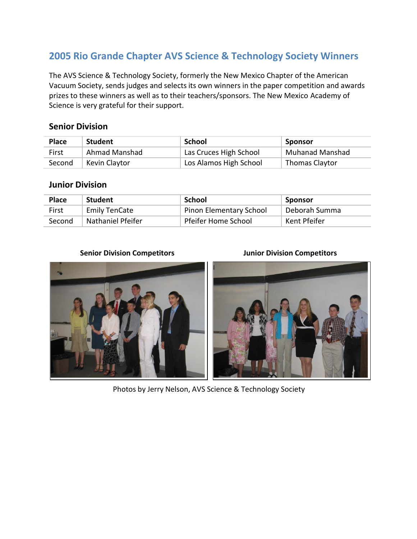The AVS Science & Technology Society, formerly the New Mexico Chapter of the American Vacuum Society, sends judges and selects its own winners in the paper competition and awards prizes to these winners as well as to their teachers/sponsors. The New Mexico Academy of Science is very grateful for their support.

#### **Senior Division**

| <b>Place</b> | <b>Student</b> | School                 | Sponsor                |
|--------------|----------------|------------------------|------------------------|
| First        | Ahmad Manshad  | Las Cruces High School | <b>Muhanad Manshad</b> |
| Second       | Kevin Claytor  | Los Alamos High School | <b>Thomas Claytor</b>  |

#### **Junior Division**

| <b>Place</b> | <b>Student</b>           | School                         | . Sponsor     |
|--------------|--------------------------|--------------------------------|---------------|
| First        | <b>Emily TenCate</b>     | <b>Pinon Elementary School</b> | Deborah Summa |
| Second       | <b>Nathaniel Pfeifer</b> | Pfeifer Home School            | Kent Pfeifer  |

#### **Senior Division Competitors Junior Division Competitors**





Photos by Jerry Nelson, AVS Science & Technology Society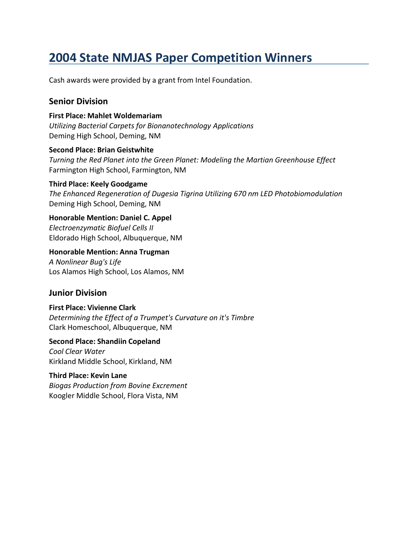Cash awards were provided by a grant from Intel Foundation.

#### **Senior Division**

#### **First Place: Mahlet Woldemariam**

*Utilizing Bacterial Carpets for Bionanotechnology Applications* Deming High School, Deming, NM

#### **Second Place: Brian Geistwhite**

*Turning the Red Planet into the Green Planet: Modeling the Martian Greenhouse Effect* Farmington High School, Farmington, NM

#### **Third Place: Keely Goodgame**

*The Enhanced Regeneration of Dugesia Tigrina Utilizing 670 nm LED Photobiomodulation* Deming High School, Deming, NM

#### **Honorable Mention: Daniel C. Appel** *Electroenzymatic Biofuel Cells II*

Eldorado High School, Albuquerque, NM

#### **Honorable Mention: Anna Trugman**

*A Nonlinear Bug's Life* Los Alamos High School, Los Alamos, NM

#### **Junior Division**

#### **First Place: Vivienne Clark**

*Determining the Effect of a Trumpet's Curvature on it's Timbre* Clark Homeschool, Albuquerque, NM

#### **Second Place: Shandiin Copeland**

*Cool Clear Water* Kirkland Middle School, Kirkland, NM

#### **Third Place: Kevin Lane**

*Biogas Production from Bovine Excrement* Koogler Middle School, Flora Vista, NM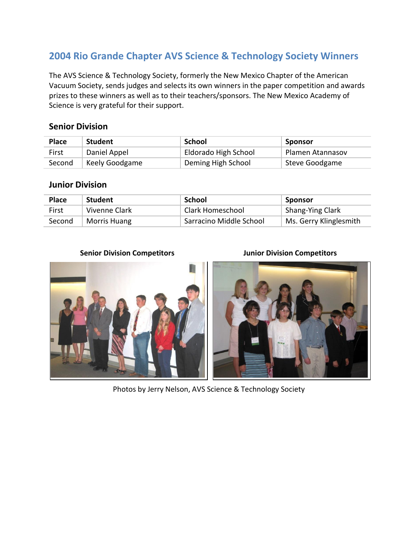The AVS Science & Technology Society, formerly the New Mexico Chapter of the American Vacuum Society, sends judges and selects its own winners in the paper competition and awards prizes to these winners as well as to their teachers/sponsors. The New Mexico Academy of Science is very grateful for their support.

#### **Senior Division**

| <b>Place</b> | <b>Student</b> | School               | Sponsor          |
|--------------|----------------|----------------------|------------------|
| First        | Daniel Appel   | Eldorado High School | Plamen Atannasov |
| Second       | Keely Goodgame | Deming High School   | Steve Goodgame   |

#### **Junior Division**

| <b>Place</b> | <b>Student</b> | School                  | Sponsor                |
|--------------|----------------|-------------------------|------------------------|
| First        | Vivenne Clark  | Clark Homeschool        | Shang-Ying Clark       |
| Second       | Morris Huang   | Sarracino Middle School | Ms. Gerry Klinglesmith |

#### **Senior Division Competitors Junior Division Competitors**



Photos by Jerry Nelson, AVS Science & Technology Society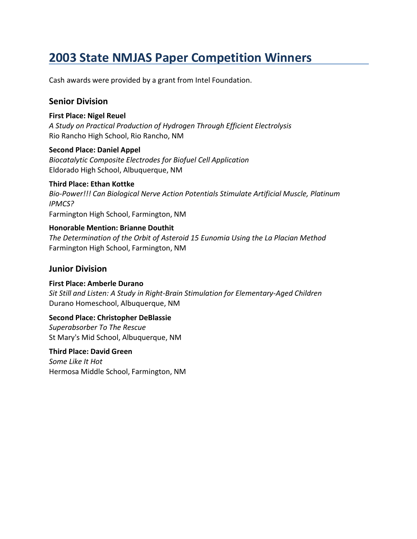Cash awards were provided by a grant from Intel Foundation.

#### **Senior Division**

#### **First Place: Nigel Reuel**

*A Study on Practical Production of Hydrogen Through Efficient Electrolysis* Rio Rancho High School, Rio Rancho, NM

#### **Second Place: Daniel Appel**

*Biocatalytic Composite Electrodes for Biofuel Cell Application* Eldorado High School, Albuquerque, NM

#### **Third Place: Ethan Kottke**

*Bio-Power!!! Can Biological Nerve Action Potentials Stimulate Artificial Muscle, Platinum IPMCS?* Farmington High School, Farmington, NM

#### **Honorable Mention: Brianne Douthit**

*The Determination of the Orbit of Asteroid 15 Eunomia Using the La Placian Method* Farmington High School, Farmington, NM

#### **Junior Division**

**First Place: Amberle Durano** *Sit Still and Listen: A Study in Right-Brain Stimulation for Elementary-Aged Children* Durano Homeschool, Albuquerque, NM

#### **Second Place: Christopher DeBlassie**

*Superabsorber To The Rescue* St Mary's Mid School, Albuquerque, NM

#### **Third Place: David Green**

*Some Like It Hot* Hermosa Middle School, Farmington, NM